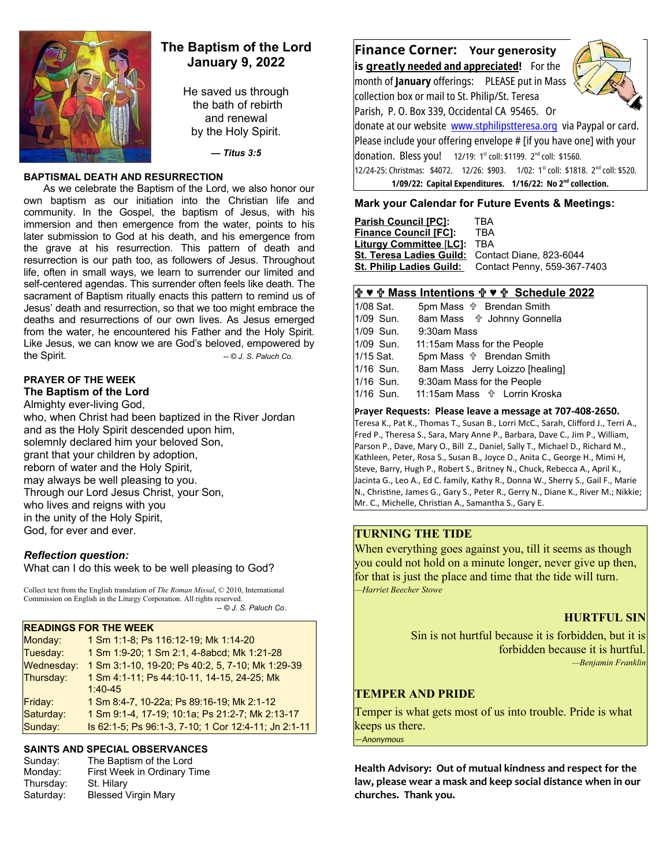

## **The Baptism of the Lord January 9, 2022**

He saved us through the bath of rebirth and renewal by the Holy Spirit.

*— Titus 3:5*

#### **BAPTISMAL DEATH AND RESURRECTION**

As we celebrate the Baptism of the Lord, we also honor our own baptism as our initiation into the Christian life and community. In the Gospel, the baptism of Jesus, with his immersion and then emergence from the water, points to his later submission to God at his death, and his emergence from the grave at his resurrection. This pattern of death and resurrection is our path too, as followers of Jesus. Throughout life, often in small ways, we learn to surrender our limited and self-centered agendas. This surrender often feels like death. The sacrament of Baptism ritually enacts this pattern to remind us of Jesus' death and resurrection, so that we too might embrace the deaths and resurrections of our own lives. As Jesus emerged from the water, he encountered his Father and the Holy Spirit. Like Jesus, we can know we are God's beloved, empowered by the Spirit. *and Spirit. COL S. Paluch Co. COL S. Paluch Co.* 

#### **PRAYER OF THE WEEK The Baptism of the Lord**

Almighty ever-living God, who, when Christ had been baptized in the River Jordan and as the Holy Spirit descended upon him, solemnly declared him your beloved Son, grant that your children by adoption, reborn of water and the Holy Spirit, may always be well pleasing to you. Through our Lord Jesus Christ, your Son, who lives and reigns with you in the unity of the Holy Spirit, God, for ever and ever.

## *Reflection question:*

What can I do this week to be well pleasing to God?

Collect text from the English translation of *The Roman Missal*, © 2010, International Commission on English in the Liturgy Corporation. All rights reserved.  *-- © J. S. Paluch Co*.

# **READINGS FOR THE WEEK**

| Monday:    | 1 Sm 1:1-8; Ps 116:12-19; Mk 1:14-20                 |
|------------|------------------------------------------------------|
| Tuesday:   | 1 Sm 1:9-20; 1 Sm 2:1, 4-8abcd; Mk 1:21-28           |
| Wednesday: | 1 Sm 3:1-10, 19-20; Ps 40:2, 5, 7-10; Mk 1:29-39     |
| Thursday:  | 1 Sm 4:1-11; Ps 44:10-11, 14-15, 24-25; Mk           |
|            | $1:40 - 45$                                          |
| Friday:    | 1 Sm 8:4-7, 10-22a; Ps 89:16-19; Mk 2:1-12           |
| Saturday:  | 1 Sm 9:1-4, 17-19; 10:1a; Ps 21:2-7; Mk 2:13-17      |
| Sunday:    | Is 62:1-5; Ps 96:1-3, 7-10; 1 Cor 12:4-11; Jn 2:1-11 |
|            |                                                      |

# **SAINTS AND SPECIAL OBSERVANCES**

|           | <u>UAIN IU AND UI LUIAL UDULINIANULU</u> |
|-----------|------------------------------------------|
| Sunday:   | The Baptism of the Lord                  |
| Monday:   | First Week in Ordinary Time              |
| Thursday: | St. Hilary                               |
| Saturday: | <b>Blessed Virgin Mary</b>               |
|           |                                          |

**Finance Corner: Your generosity is greatly needed and appreciated!** For the

month of **January** offerings: PLEASE put in Mass collection box or mail to St. Philip/St. Teresa Parish, P. O. Box 339, Occidental CA 95465. Or



donate at our website [www.stphilipstteresa.org](http://www.stphilipstteresa.org/) via Paypal or card. Please include your offering envelope # [if you have one] with your donation. Bless you! 12/19: 1<sup>st</sup> coll: \$1199. 2<sup>nd</sup> coll: \$1560. 12/24-25: Christmas: \$4072. 12/26: \$903. 1/02: 1<sup>st</sup> coll: \$1818. 2<sup>nd</sup> coll: \$520. **1/09/22: Capital Expenditures. 1/16/22: No 2nd collection.** 

#### **Mark your Calendar for Future Events & Meetings:**

| <b>Parish Council [PC]:</b>                      | TRA                         |
|--------------------------------------------------|-----------------------------|
| <b>Finance Council [FC]:</b>                     | TBA                         |
| <b>Liturgy Committee [LC]:</b>                   | TBA                         |
| St. Teresa Ladies Guild: Contact Diane, 823-6044 |                             |
| <b>St. Philip Ladies Guild:</b>                  | Contact Penny, 559-367-7403 |
|                                                  |                             |

#### **♥ Mass Intentions ♥ Schedule 2022**

| 1/08 Sat. | 5pm Mass $\psi$ Brendan Smith         |
|-----------|---------------------------------------|
| 1/09 Sun. | 8am Mass <sup>+</sup> Johnny Gonnella |
| 1/09 Sun. | 9:30am Mass                           |
| 1/09 Sun. | 11:15am Mass for the People           |
| 1/15 Sat. | 5pm Mass $\psi$ Brendan Smith         |
| 1/16 Sun. | 8am Mass Jerry Loizzo [healing]       |
| 1/16 Sun. | 9:30am Mass for the People            |
| 1/16 Sun. | 11:15am Mass <b>the Lorrin Kroska</b> |
|           |                                       |

#### **Prayer Requests: Please leave a message at 707-408-2650.**

Teresa K., Pat K., Thomas T., Susan B., Lorri McC., Sarah, Clifford J., Terri A., Fred P., Theresa S., Sara, Mary Anne P., Barbara, Dave C., Jim P., William, Parson P., Dave, Mary O., Bill Z., Daniel, Sally T., Michael D., Richard M., Kathleen, Peter, Rosa S., Susan B., Joyce D., Anita C., George H., Mimi H, Steve, Barry, Hugh P., Robert S., Britney N., Chuck, Rebecca A., April K., Jacinta G., Leo A., Ed C. family, Kathy R., Donna W., Sherry S., Gail F., Marie N., Christine, James G., Gary S., Peter R., Gerry N., Diane K., River M.; Nikkie; Mr. C., Michelle, Christian A., Samantha S., Gary E.

## **TURNING THE TIDE**

When everything goes against you, till it seems as though you could not hold on a minute longer, never give up then, for that is just the place and time that the tide will turn. *—Harriet Beecher Stowe*

## **HURTFUL SIN**

Sin is not hurtful because it is forbidden, but it is forbidden because it is hurtful. *—Benjamin Franklin*

# **TEMPER AND PRIDE**

Temper is what gets most of us into trouble. Pride is what keeps us there. *—Anonymous*

**Health Advisory: Out of mutual kindness and respect for the law, please wear a mask and keep social distance when in our churches. Thank you.**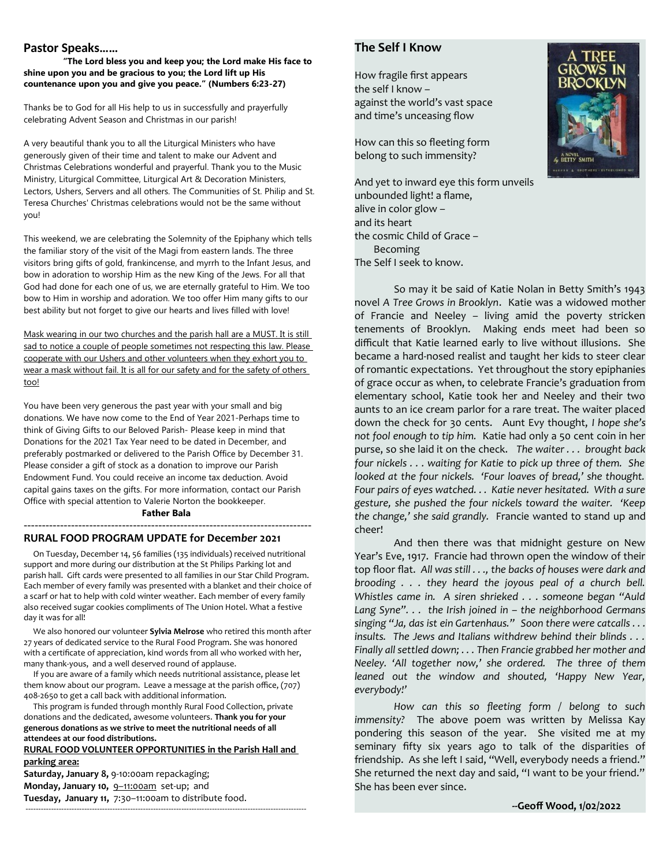#### **Pastor Speaks……**

**"The Lord bless you and keep you; the Lord make His face to shine upon you and be gracious to you; the Lord lift up His countenance upon you and give you peace." (Numbers 6:23-27)**

Thanks be to God for all His help to us in successfully and prayerfully celebrating Advent Season and Christmas in our parish!

A very beautiful thank you to all the Liturgical Ministers who have generously given of their time and talent to make our Advent and Christmas Celebrations wonderful and prayerful. Thank you to the Music Ministry, Liturgical Committee, Liturgical Art & Decoration Ministers, Lectors, Ushers, Servers and all others. The Communities of St. Philip and St. Teresa Churches' Christmas celebrations would not be the same without you!

This weekend, we are celebrating the Solemnity of the Epiphany which tells the familiar story of the visit of the Magi from eastern lands. The three visitors bring gifts of gold, frankincense, and myrrh to the Infant Jesus, and bow in adoration to worship Him as the new King of the Jews. For all that God had done for each one of us, we are eternally grateful to Him. We too bow to Him in worship and adoration. We too offer Him many gifts to our best ability but not forget to give our hearts and lives filled with love!

Mask wearing in our two churches and the parish hall are a MUST. It is still sad to notice a couple of people sometimes not respecting this law. Please cooperate with our Ushers and other volunteers when they exhort you to wear a mask without fail. It is all for our safety and for the safety of others too!

You have been very generous the past year with your small and big donations. We have now come to the End of Year 2021-Perhaps time to think of Giving Gifts to our Beloved Parish- Please keep in mind that Donations for the 2021 Tax Year need to be dated in December, and preferably postmarked or delivered to the Parish Office by December 31. Please consider a gift of stock as a donation to improve our Parish Endowment Fund. You could receive an income tax deduction. Avoid capital gains taxes on the gifts. For more information, contact our Parish Office with special attention to Valerie Norton the bookkeeper. **Father Bala**

# -------------------------------------------------------------------------------

#### **RURAL FOOD PROGRAM UPDATE for Decem***ber* **2021**

 On Tuesday, December 14, 56 families (135 individuals) received nutritional support and more during our distribution at the St Philips Parking lot and parish hall. Gift cards were presented to all families in our Star Child Program. Each member of every family was presented with a blanket and their choice of a scarf or hat to help with cold winter weather. Each member of every family also received sugar cookies compliments of The Union Hotel. What a festive day it was for all!

 We also honored our volunteer **Sylvia Melrose** who retired this month after 27 years of dedicated service to the Rural Food Program. She was honored with a certificate of appreciation, kind words from all who worked with her, many thank-yous, and a well deserved round of applause.

 If you are aware of a family which needs nutritional assistance, please let them know about our program. Leave a message at the parish office, (707) 408-2650 to get a call back with additional information.

 This program is funded through monthly Rural Food Collection, private donations and the dedicated, awesome volunteers. **Thank you for your generous donations as we strive to meet the nutritional needs of all attendees at our food distributions.** 

**RURAL FOOD VOLUNTEER OPPORTUNITIES in the Parish Hall and parking area: Saturday, January 8,** 9-10:00am repackaging; Monday, January 10, 9-11:00am set-up; and

**Tuesday, January 11,** 7:30–11:00am to distribute food. --------------------------------------------------------------------------------------------------------------

#### **The Self I Know**

How fragile first appears the self I know – against the world's vast space and time's unceasing flow

How can this so fleeting form belong to such immensity?

And yet to inward eye this form unveils unbounded light! a flame, alive in color glow – and its heart the cosmic Child of Grace – Becoming The Self I seek to know.

So may it be said of Katie Nolan in Betty Smith's 1943 novel *A Tree Grows in Brooklyn*. Katie was a widowed mother of Francie and Neeley – living amid the poverty stricken tenements of Brooklyn. Making ends meet had been so difficult that Katie learned early to live without illusions. She became a hard-nosed realist and taught her kids to steer clear of romantic expectations. Yet throughout the story epiphanies of grace occur as when, to celebrate Francie's graduation from elementary school, Katie took her and Neeley and their two aunts to an ice cream parlor for a rare treat. The waiter placed down the check for 30 cents. Aunt Evy thought, *I hope she's not fool enough to tip him.* Katie had only a 50 cent coin in her purse, so she laid it on the check. *The waiter . . . brought back four nickels . . . waiting for Katie to pick up three of them. She looked at the four nickels. 'Four loaves of bread,' she thought. Four pairs of eyes watched. . . Katie never hesitated. With a sure gesture, she pushed the four nickels toward the waiter. 'Keep the change,' she said grandly.* Francie wanted to stand up and cheer!

And then there was that midnight gesture on New Year's Eve, 1917. Francie had thrown open the window of their top floor flat. *All was still . . ., the backs of houses were dark and brooding . . . they heard the joyous peal of a church bell. Whistles came in. A siren shrieked . . . someone began "Auld Lang Syne". . . the Irish joined in – the neighborhood Germans singing "Ja, das ist ein Gartenhaus." Soon there were catcalls . . . insults. The Jews and Italians withdrew behind their blinds . . . Finally all settled down; . . . Then Francie grabbed her mother and Neeley. 'All together now,' she ordered. The three of them leaned out the window and shouted, 'Happy New Year, everybody!'* 

*How can this so fleeting form / belong to such immensity?* The above poem was written by Melissa Kay pondering this season of the year. She visited me at my seminary fifty six years ago to talk of the disparities of friendship. As she left I said, "Well, everybody needs a friend." She returned the next day and said, "I want to be your friend." She has been ever since.